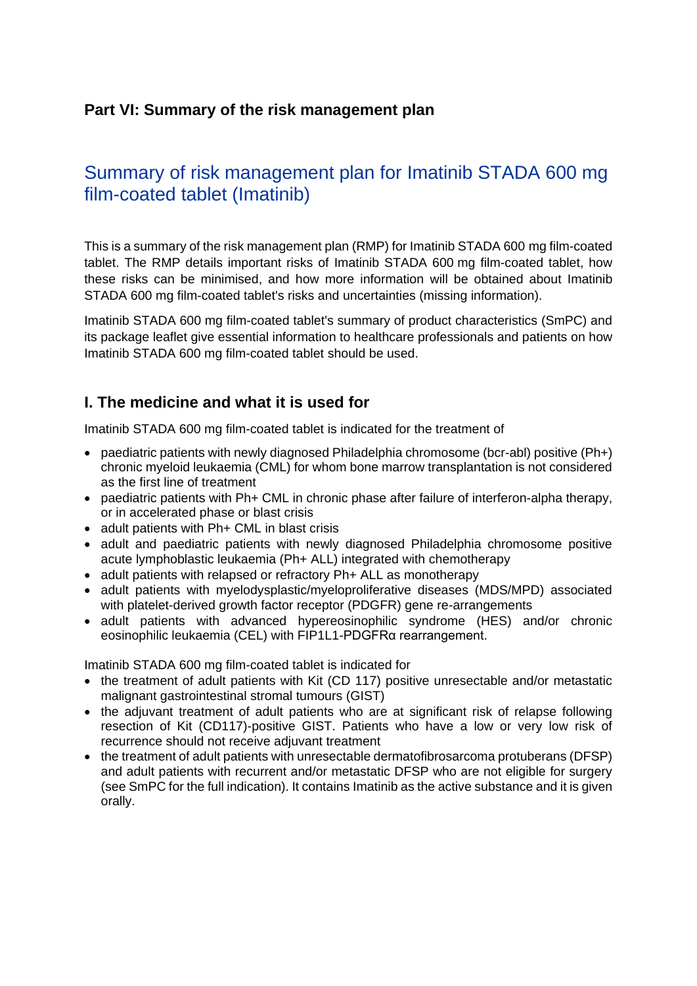# **Part VI: Summary of the risk management plan**

# Summary of risk management plan for Imatinib STADA 600 mg film-coated tablet (Imatinib)

This is a summary of the risk management plan (RMP) for Imatinib STADA 600 mg film-coated tablet. The RMP details important risks of Imatinib STADA 600 mg film-coated tablet, how these risks can be minimised, and how more information will be obtained about Imatinib STADA 600 mg film-coated tablet's risks and uncertainties (missing information).

Imatinib STADA 600 mg film-coated tablet's summary of product characteristics (SmPC) and its package leaflet give essential information to healthcare professionals and patients on how Imatinib STADA 600 mg film-coated tablet should be used.

## **I. The medicine and what it is used for**

Imatinib STADA 600 mg film-coated tablet is indicated for the treatment of

- paediatric patients with newly diagnosed Philadelphia chromosome (bcr-abl) positive (Ph+) chronic myeloid leukaemia (CML) for whom bone marrow transplantation is not considered as the first line of treatment
- paediatric patients with Ph+ CML in chronic phase after failure of interferon-alpha therapy, or in accelerated phase or blast crisis
- adult patients with Ph+ CML in blast crisis
- adult and paediatric patients with newly diagnosed Philadelphia chromosome positive acute lymphoblastic leukaemia (Ph+ ALL) integrated with chemotherapy
- adult patients with relapsed or refractory Ph+ ALL as monotherapy
- adult patients with myelodysplastic/myeloproliferative diseases (MDS/MPD) associated with platelet-derived growth factor receptor (PDGFR) gene re-arrangements
- adult patients with advanced hypereosinophilic syndrome (HES) and/or chronic eosinophilic leukaemia (CEL) with FIP1L1-PDGFRα rearrangement.

Imatinib STADA 600 mg film-coated tablet is indicated for

- the treatment of adult patients with Kit (CD 117) positive unresectable and/or metastatic malignant gastrointestinal stromal tumours (GIST)
- the adiuvant treatment of adult patients who are at significant risk of relapse following resection of Kit (CD117)-positive GIST. Patients who have a low or very low risk of recurrence should not receive adjuvant treatment
- the treatment of adult patients with unresectable dermatofibrosarcoma protuberans (DFSP) and adult patients with recurrent and/or metastatic DFSP who are not eligible for surgery (see SmPC for the full indication). It contains Imatinib as the active substance and it is given orally.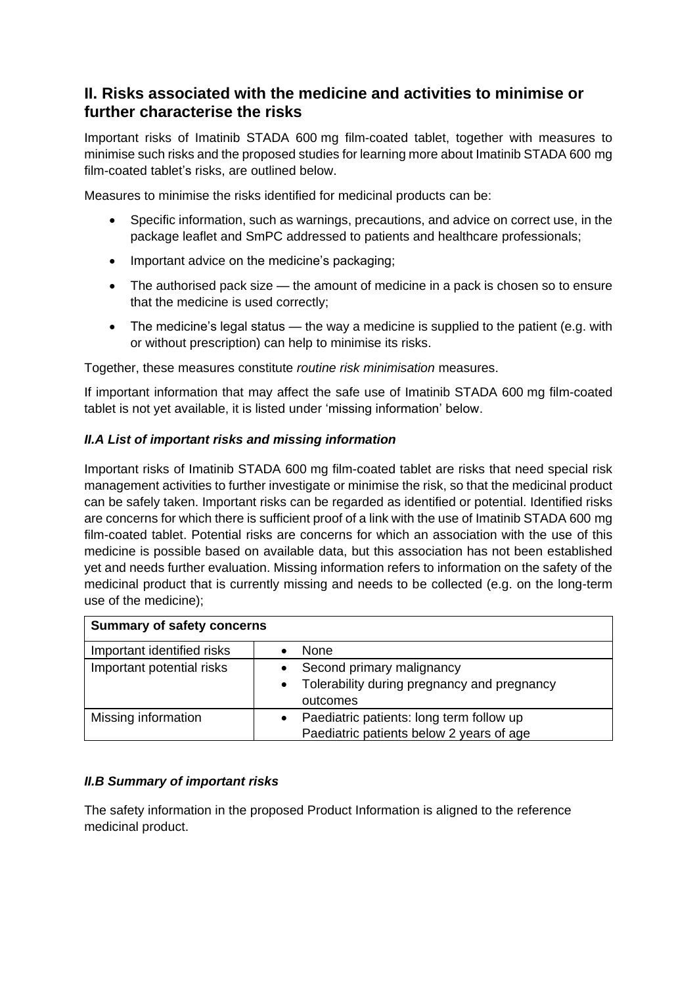# **II. Risks associated with the medicine and activities to minimise or further characterise the risks**

Important risks of Imatinib STADA 600 mg film-coated tablet, together with measures to minimise such risks and the proposed studies for learning more about Imatinib STADA 600 mg film-coated tablet's risks, are outlined below.

Measures to minimise the risks identified for medicinal products can be:

- Specific information, such as warnings, precautions, and advice on correct use, in the package leaflet and SmPC addressed to patients and healthcare professionals;
- Important advice on the medicine's packaging;
- The authorised pack size the amount of medicine in a pack is chosen so to ensure that the medicine is used correctly;
- The medicine's legal status the way a medicine is supplied to the patient (e.g. with or without prescription) can help to minimise its risks.

Together, these measures constitute *routine risk minimisation* measures.

If important information that may affect the safe use of Imatinib STADA 600 mg film-coated tablet is not yet available, it is listed under 'missing information' below.

## *II.A List of important risks and missing information*

Important risks of Imatinib STADA 600 mg film-coated tablet are risks that need special risk management activities to further investigate or minimise the risk, so that the medicinal product can be safely taken. Important risks can be regarded as identified or potential. Identified risks are concerns for which there is sufficient proof of a link with the use of Imatinib STADA 600 mg film-coated tablet. Potential risks are concerns for which an association with the use of this medicine is possible based on available data, but this association has not been established yet and needs further evaluation. Missing information refers to information on the safety of the medicinal product that is currently missing and needs to be collected (e.g. on the long-term use of the medicine);

| <b>Summary of safety concerns</b> |                                                          |
|-----------------------------------|----------------------------------------------------------|
| Important identified risks        | None                                                     |
| Important potential risks         | Second primary malignancy                                |
|                                   | Tolerability during pregnancy and pregnancy<br>$\bullet$ |
|                                   | outcomes                                                 |
| Missing information               | Paediatric patients: long term follow up                 |
|                                   | Paediatric patients below 2 years of age                 |

#### *II.B Summary of important risks*

The safety information in the proposed Product Information is aligned to the reference medicinal product.